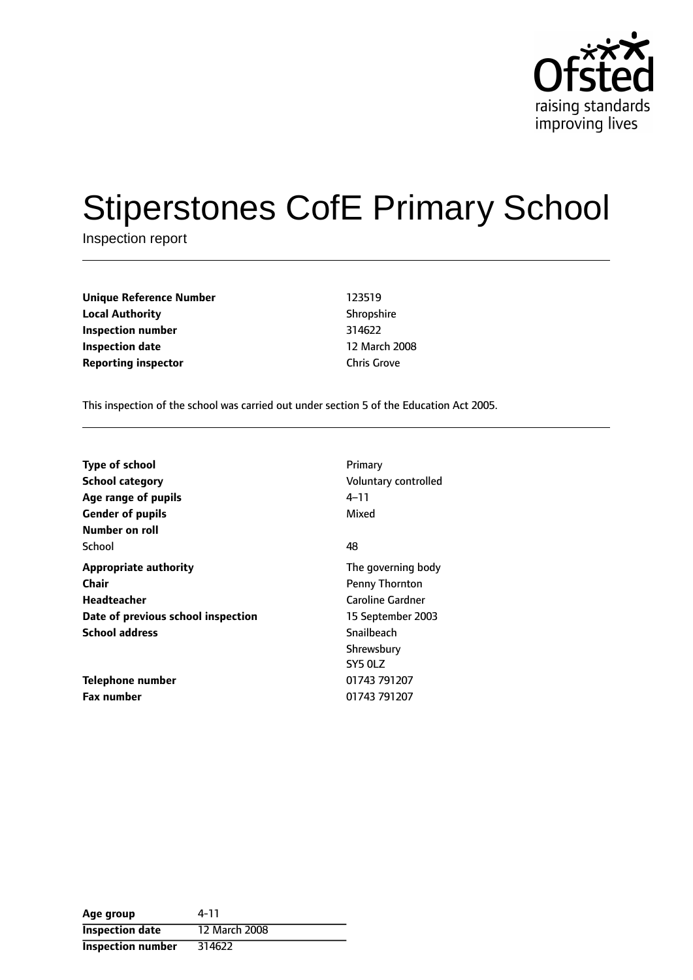

# Stiperstones CofE Primary School

Inspection report

| <b>Unique Reference Number</b> | 123519             |
|--------------------------------|--------------------|
| <b>Local Authority</b>         | Shropshire         |
| Inspection number              | 314622             |
| <b>Inspection date</b>         | 12 March 20        |
| <b>Reporting inspector</b>     | <b>Chris Grove</b> |

**Shropshire Inspection number** 314622 **12 March 2008** 

This inspection of the school was carried out under section 5 of the Education Act 2005.

| <b>Type of school</b><br><b>School category</b><br>Age range of pupils<br><b>Gender of pupils</b> | Primary<br>Voluntary controlled<br>4–11<br>Mixed |
|---------------------------------------------------------------------------------------------------|--------------------------------------------------|
| Number on roll                                                                                    |                                                  |
| School                                                                                            | 48                                               |
| <b>Appropriate authority</b>                                                                      | The governing body                               |
| <b>Chair</b>                                                                                      | <b>Penny Thornton</b>                            |
| <b>Headteacher</b>                                                                                | <b>Caroline Gardner</b>                          |
| Date of previous school inspection                                                                | 15 September 2003                                |
| <b>School address</b>                                                                             | Snailbeach                                       |
|                                                                                                   | Shrewsbury                                       |
|                                                                                                   | SY5 OLZ                                          |
| Telephone number                                                                                  | 01743 791207                                     |
| <b>Fax number</b>                                                                                 | 01743 791207                                     |

| Age group                | 4-11          |
|--------------------------|---------------|
| <b>Inspection date</b>   | 12 March 2008 |
| <b>Inspection number</b> | 314622        |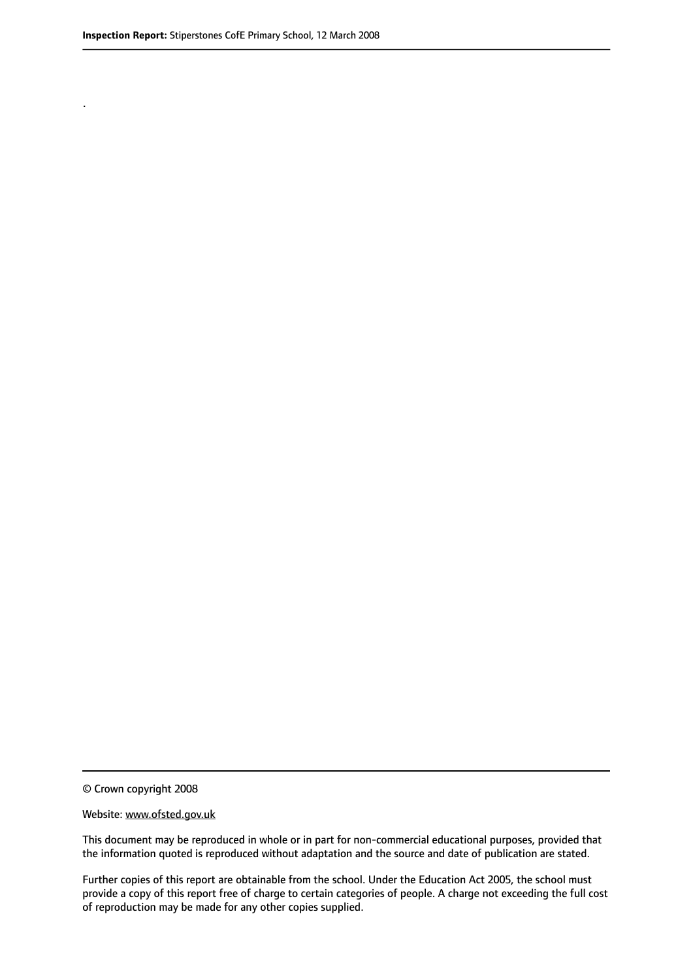.

© Crown copyright 2008

#### Website: www.ofsted.gov.uk

This document may be reproduced in whole or in part for non-commercial educational purposes, provided that the information quoted is reproduced without adaptation and the source and date of publication are stated.

Further copies of this report are obtainable from the school. Under the Education Act 2005, the school must provide a copy of this report free of charge to certain categories of people. A charge not exceeding the full cost of reproduction may be made for any other copies supplied.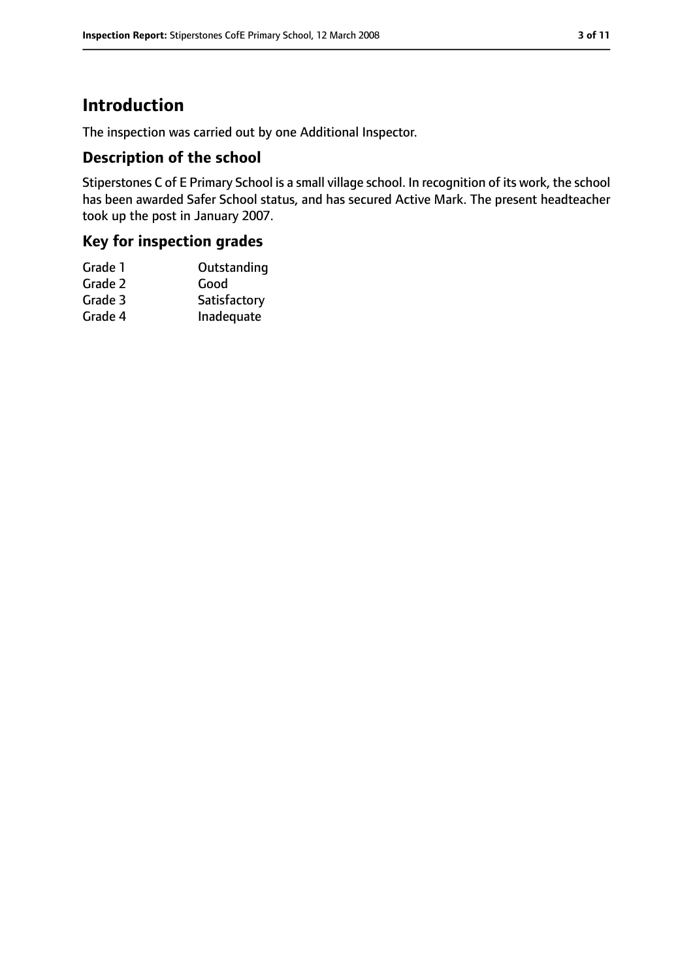# **Introduction**

The inspection was carried out by one Additional Inspector.

## **Description of the school**

Stiperstones C of E Primary School is a small village school. In recognition of its work, the school has been awarded Safer School status, and has secured Active Mark. The present headteacher took up the post in January 2007.

# **Key for inspection grades**

| Grade 1 | Outstanding  |
|---------|--------------|
| Grade 2 | Good         |
| Grade 3 | Satisfactory |
| Grade 4 | Inadequate   |
|         |              |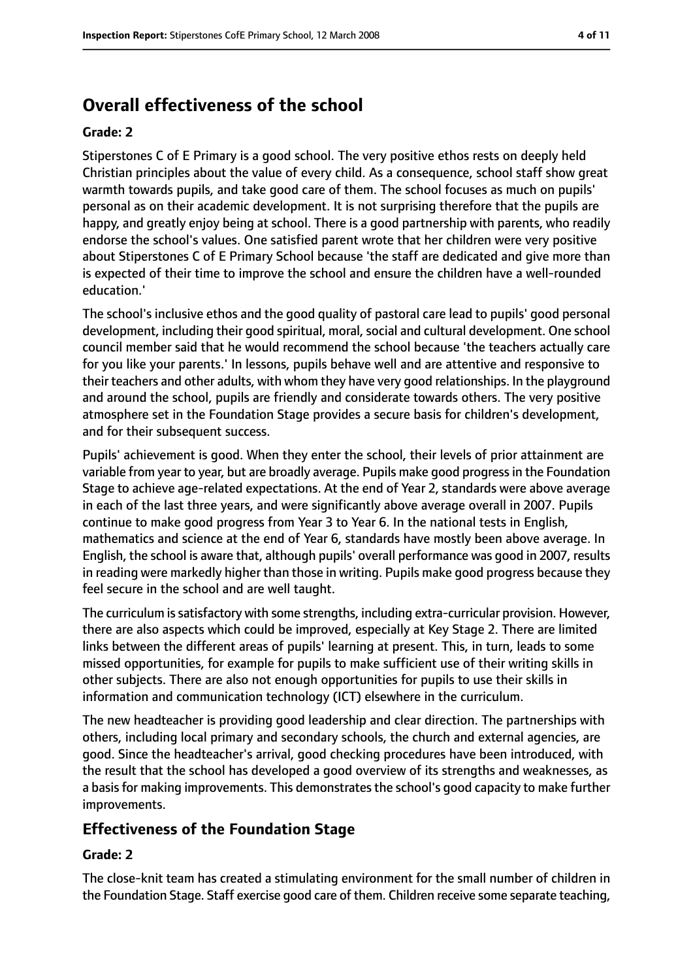# **Overall effectiveness of the school**

#### **Grade: 2**

Stiperstones C of E Primary is a good school. The very positive ethos rests on deeply held Christian principles about the value of every child. As a consequence, school staff show great warmth towards pupils, and take good care of them. The school focuses as much on pupils' personal as on their academic development. It is not surprising therefore that the pupils are happy, and greatly enjoy being at school. There is a good partnership with parents, who readily endorse the school's values. One satisfied parent wrote that her children were very positive about Stiperstones C of E Primary School because 'the staff are dedicated and give more than is expected of their time to improve the school and ensure the children have a well-rounded education.'

The school's inclusive ethos and the good quality of pastoral care lead to pupils' good personal development, including their good spiritual, moral, social and cultural development. One school council member said that he would recommend the school because 'the teachers actually care for you like your parents.' In lessons, pupils behave well and are attentive and responsive to their teachers and other adults, with whom they have very good relationships. In the playground and around the school, pupils are friendly and considerate towards others. The very positive atmosphere set in the Foundation Stage provides a secure basis for children's development, and for their subsequent success.

Pupils' achievement is good. When they enter the school, their levels of prior attainment are variable from year to year, but are broadly average. Pupils make good progressin the Foundation Stage to achieve age-related expectations. At the end of Year 2, standards were above average in each of the last three years, and were significantly above average overall in 2007. Pupils continue to make good progress from Year 3 to Year 6. In the national tests in English, mathematics and science at the end of Year 6, standards have mostly been above average. In English, the school is aware that, although pupils' overall performance was good in 2007, results in reading were markedly higher than those in writing. Pupils make good progress because they feel secure in the school and are well taught.

The curriculum issatisfactory with some strengths, including extra-curricular provision. However, there are also aspects which could be improved, especially at Key Stage 2. There are limited links between the different areas of pupils' learning at present. This, in turn, leads to some missed opportunities, for example for pupils to make sufficient use of their writing skills in other subjects. There are also not enough opportunities for pupils to use their skills in information and communication technology (ICT) elsewhere in the curriculum.

The new headteacher is providing good leadership and clear direction. The partnerships with others, including local primary and secondary schools, the church and external agencies, are good. Since the headteacher's arrival, good checking procedures have been introduced, with the result that the school has developed a good overview of its strengths and weaknesses, as a basis for making improvements. This demonstrates the school's good capacity to make further improvements.

# **Effectiveness of the Foundation Stage**

#### **Grade: 2**

The close-knit team has created a stimulating environment for the small number of children in the Foundation Stage. Staff exercise good care of them. Children receive some separate teaching,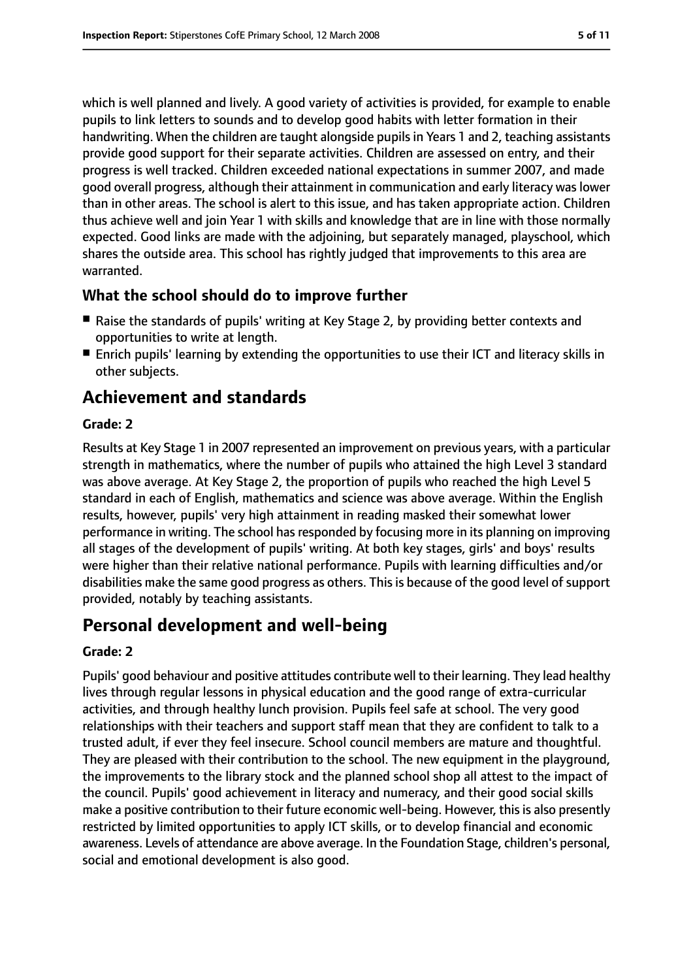which is well planned and lively. A good variety of activities is provided, for example to enable pupils to link letters to sounds and to develop good habits with letter formation in their handwriting. When the children are taught alongside pupils in Years 1 and 2, teaching assistants provide good support for their separate activities. Children are assessed on entry, and their progress is well tracked. Children exceeded national expectations in summer 2007, and made good overall progress, although their attainment in communication and early literacy was lower than in other areas. The school is alert to this issue, and has taken appropriate action. Children thus achieve well and join Year 1 with skills and knowledge that are in line with those normally expected. Good links are made with the adjoining, but separately managed, playschool, which shares the outside area. This school has rightly judged that improvements to this area are warranted.

## **What the school should do to improve further**

- Raise the standards of pupils' writing at Key Stage 2, by providing better contexts and opportunities to write at length.
- Enrich pupils' learning by extending the opportunities to use their ICT and literacy skills in other subjects.

# **Achievement and standards**

#### **Grade: 2**

Results at Key Stage 1 in 2007 represented an improvement on previous years, with a particular strength in mathematics, where the number of pupils who attained the high Level 3 standard was above average. At Key Stage 2, the proportion of pupils who reached the high Level 5 standard in each of English, mathematics and science was above average. Within the English results, however, pupils' very high attainment in reading masked their somewhat lower performance in writing. The school has responded by focusing more in its planning on improving all stages of the development of pupils' writing. At both key stages, girls' and boys' results were higher than their relative national performance. Pupils with learning difficulties and/or disabilities make the same good progress as others. This is because of the good level of support provided, notably by teaching assistants.

# **Personal development and well-being**

## **Grade: 2**

Pupils' good behaviour and positive attitudes contribute well to their learning. They lead healthy lives through regular lessons in physical education and the good range of extra-curricular activities, and through healthy lunch provision. Pupils feel safe at school. The very good relationships with their teachers and support staff mean that they are confident to talk to a trusted adult, if ever they feel insecure. School council members are mature and thoughtful. They are pleased with their contribution to the school. The new equipment in the playground, the improvements to the library stock and the planned school shop all attest to the impact of the council. Pupils' good achievement in literacy and numeracy, and their good social skills make a positive contribution to their future economic well-being. However, this is also presently restricted by limited opportunities to apply ICT skills, or to develop financial and economic awareness. Levels of attendance are above average. In the Foundation Stage, children's personal, social and emotional development is also good.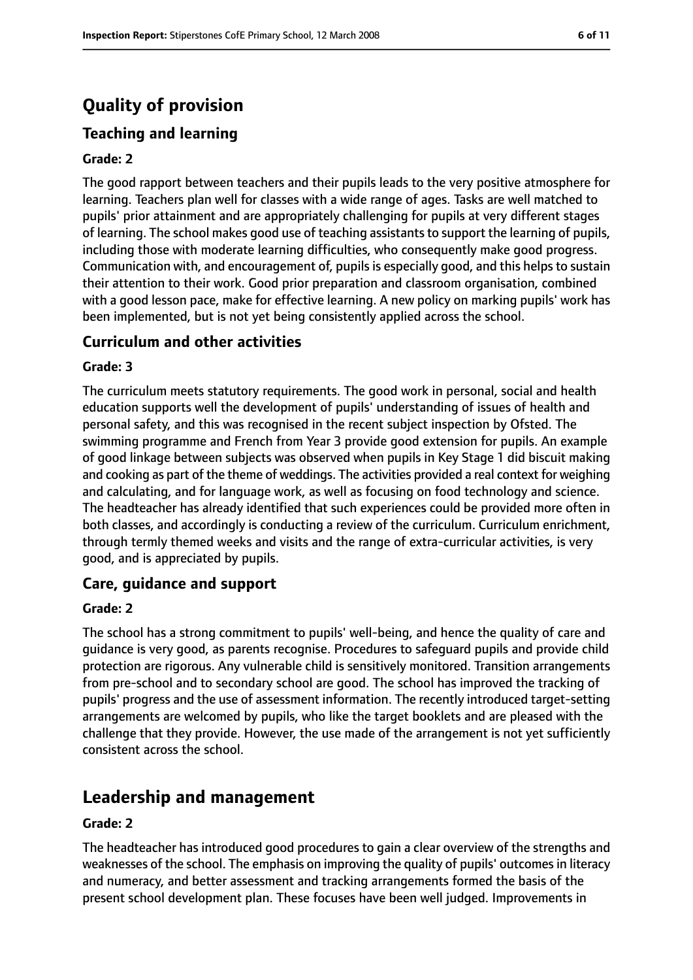# **Quality of provision**

# **Teaching and learning**

#### **Grade: 2**

The good rapport between teachers and their pupils leads to the very positive atmosphere for learning. Teachers plan well for classes with a wide range of ages. Tasks are well matched to pupils' prior attainment and are appropriately challenging for pupils at very different stages of learning. The school makes good use of teaching assistantsto support the learning of pupils, including those with moderate learning difficulties, who consequently make good progress. Communication with, and encouragement of, pupils is especially good, and this helps to sustain their attention to their work. Good prior preparation and classroom organisation, combined with a good lesson pace, make for effective learning. A new policy on marking pupils' work has been implemented, but is not yet being consistently applied across the school.

## **Curriculum and other activities**

#### **Grade: 3**

The curriculum meets statutory requirements. The good work in personal, social and health education supports well the development of pupils' understanding of issues of health and personal safety, and this was recognised in the recent subject inspection by Ofsted. The swimming programme and French from Year 3 provide good extension for pupils. An example of good linkage between subjects was observed when pupils in Key Stage 1 did biscuit making and cooking as part of the theme of weddings. The activities provided a real context for weighing and calculating, and for language work, as well as focusing on food technology and science. The headteacher has already identified that such experiences could be provided more often in both classes, and accordingly is conducting a review of the curriculum. Curriculum enrichment, through termly themed weeks and visits and the range of extra-curricular activities, is very good, and is appreciated by pupils.

## **Care, guidance and support**

#### **Grade: 2**

The school has a strong commitment to pupils' well-being, and hence the quality of care and guidance is very good, as parents recognise. Procedures to safeguard pupils and provide child protection are rigorous. Any vulnerable child is sensitively monitored. Transition arrangements from pre-school and to secondary school are good. The school has improved the tracking of pupils' progress and the use of assessment information. The recently introduced target-setting arrangements are welcomed by pupils, who like the target booklets and are pleased with the challenge that they provide. However, the use made of the arrangement is not yet sufficiently consistent across the school.

# **Leadership and management**

#### **Grade: 2**

The headteacher has introduced good procedures to gain a clear overview of the strengths and weaknesses of the school. The emphasis on improving the quality of pupils' outcomes in literacy and numeracy, and better assessment and tracking arrangements formed the basis of the present school development plan. These focuses have been well judged. Improvements in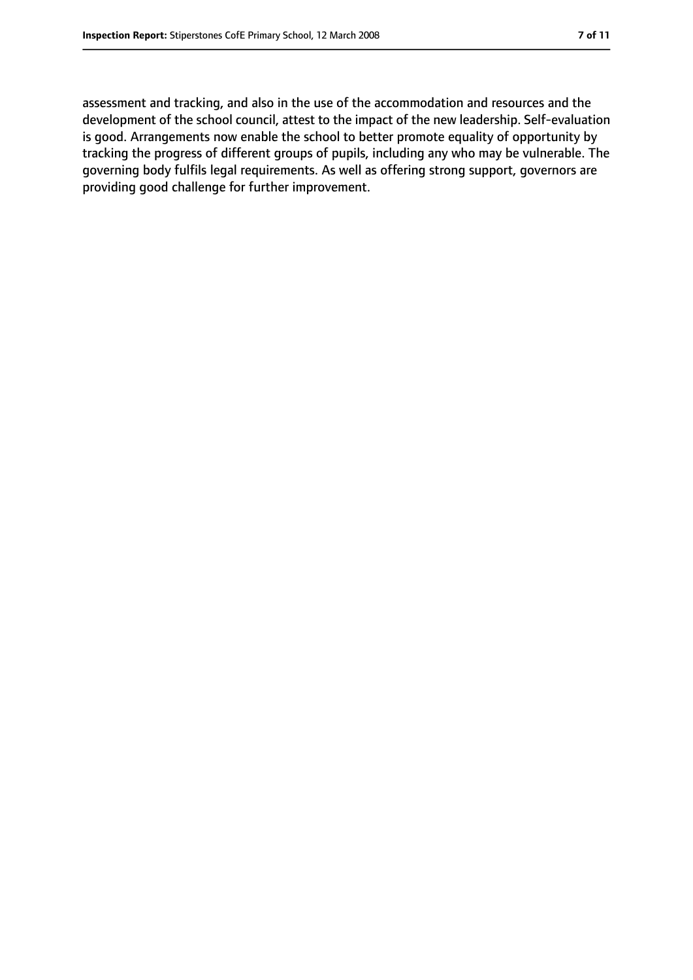assessment and tracking, and also in the use of the accommodation and resources and the development of the school council, attest to the impact of the new leadership. Self-evaluation is good. Arrangements now enable the school to better promote equality of opportunity by tracking the progress of different groups of pupils, including any who may be vulnerable. The governing body fulfils legal requirements. As well as offering strong support, governors are providing good challenge for further improvement.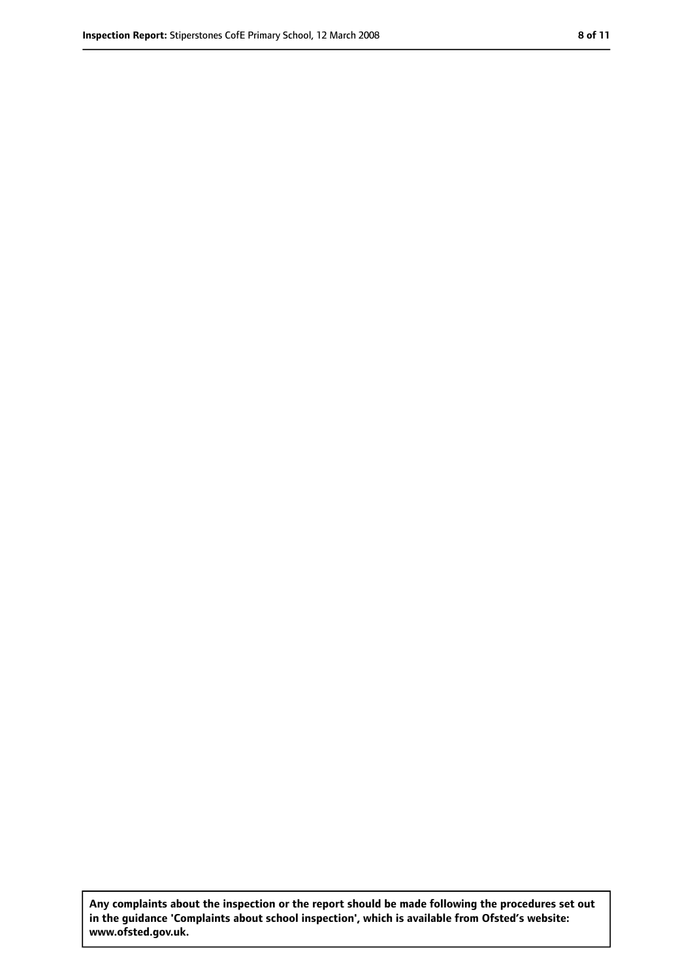**Any complaints about the inspection or the report should be made following the procedures set out in the guidance 'Complaints about school inspection', which is available from Ofsted's website: www.ofsted.gov.uk.**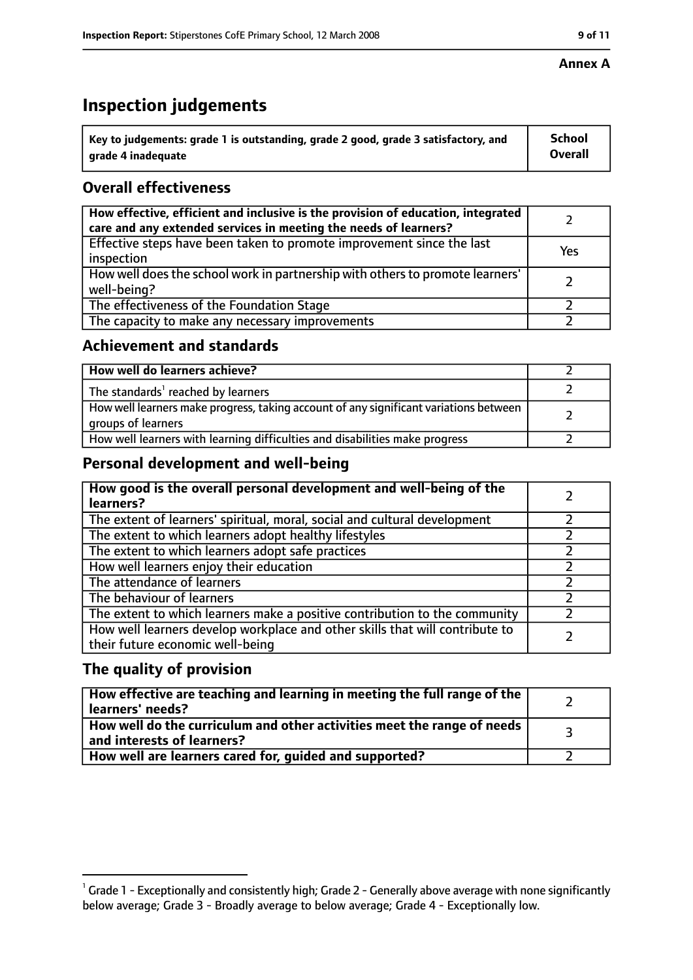# **Inspection judgements**

| $^{\backprime}$ Key to judgements: grade 1 is outstanding, grade 2 good, grade 3 satisfactory, and | <b>School</b>  |
|----------------------------------------------------------------------------------------------------|----------------|
| arade 4 inadequate                                                                                 | <b>Overall</b> |

# **Overall effectiveness**

| How effective, efficient and inclusive is the provision of education, integrated<br>care and any extended services in meeting the needs of learners? |     |
|------------------------------------------------------------------------------------------------------------------------------------------------------|-----|
| Effective steps have been taken to promote improvement since the last<br>inspection                                                                  | Yes |
| How well does the school work in partnership with others to promote learners'<br>well-being?                                                         |     |
| The effectiveness of the Foundation Stage                                                                                                            |     |
| The capacity to make any necessary improvements                                                                                                      |     |

## **Achievement and standards**

| How well do learners achieve?                                                                               |  |
|-------------------------------------------------------------------------------------------------------------|--|
| The standards <sup>1</sup> reached by learners                                                              |  |
| How well learners make progress, taking account of any significant variations between<br>groups of learners |  |
| How well learners with learning difficulties and disabilities make progress                                 |  |

# **Personal development and well-being**

| How good is the overall personal development and well-being of the<br>learners?                                  |  |
|------------------------------------------------------------------------------------------------------------------|--|
| The extent of learners' spiritual, moral, social and cultural development                                        |  |
| The extent to which learners adopt healthy lifestyles                                                            |  |
| The extent to which learners adopt safe practices                                                                |  |
| How well learners enjoy their education                                                                          |  |
| The attendance of learners                                                                                       |  |
| The behaviour of learners                                                                                        |  |
| The extent to which learners make a positive contribution to the community                                       |  |
| How well learners develop workplace and other skills that will contribute to<br>their future economic well-being |  |

# **The quality of provision**

| How effective are teaching and learning in meeting the full range of the<br>learners' needs?          |  |
|-------------------------------------------------------------------------------------------------------|--|
| How well do the curriculum and other activities meet the range of needs<br>and interests of learners? |  |
| How well are learners cared for, guided and supported?                                                |  |

### **Annex A**

 $^1$  Grade 1 - Exceptionally and consistently high; Grade 2 - Generally above average with none significantly below average; Grade 3 - Broadly average to below average; Grade 4 - Exceptionally low.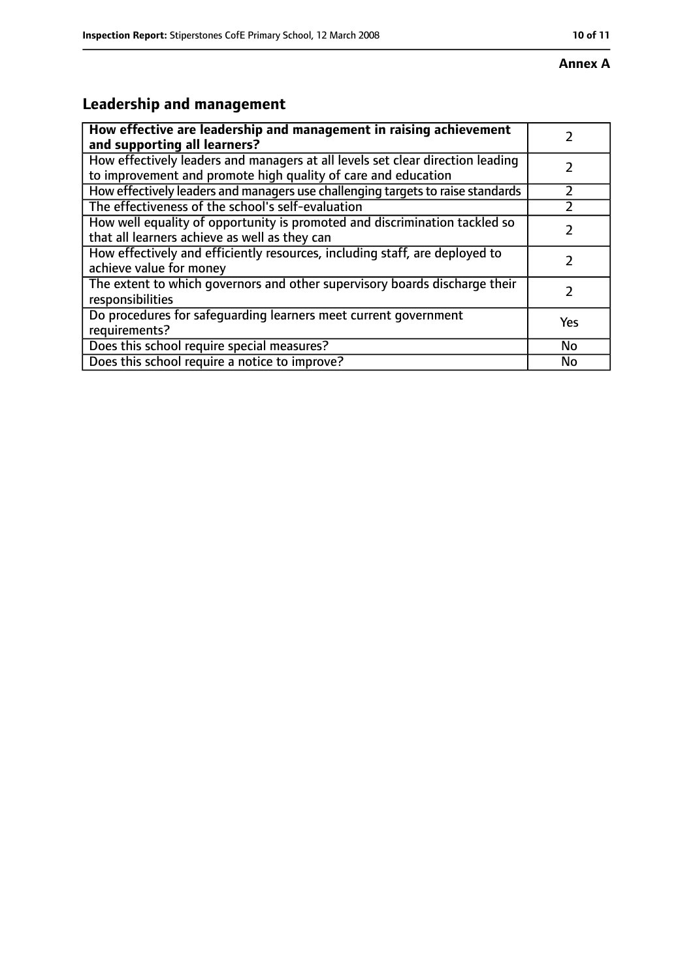# **Leadership and management**

| How effective are leadership and management in raising achievement<br>and supporting all learners?                                              |           |
|-------------------------------------------------------------------------------------------------------------------------------------------------|-----------|
| How effectively leaders and managers at all levels set clear direction leading<br>to improvement and promote high quality of care and education |           |
| How effectively leaders and managers use challenging targets to raise standards                                                                 |           |
| The effectiveness of the school's self-evaluation                                                                                               |           |
| How well equality of opportunity is promoted and discrimination tackled so<br>that all learners achieve as well as they can                     |           |
| How effectively and efficiently resources, including staff, are deployed to<br>achieve value for money                                          |           |
| The extent to which governors and other supervisory boards discharge their<br>responsibilities                                                  |           |
| Do procedures for safequarding learners meet current government<br>requirements?                                                                | Yes       |
| Does this school require special measures?                                                                                                      | <b>No</b> |
| Does this school require a notice to improve?                                                                                                   | No        |